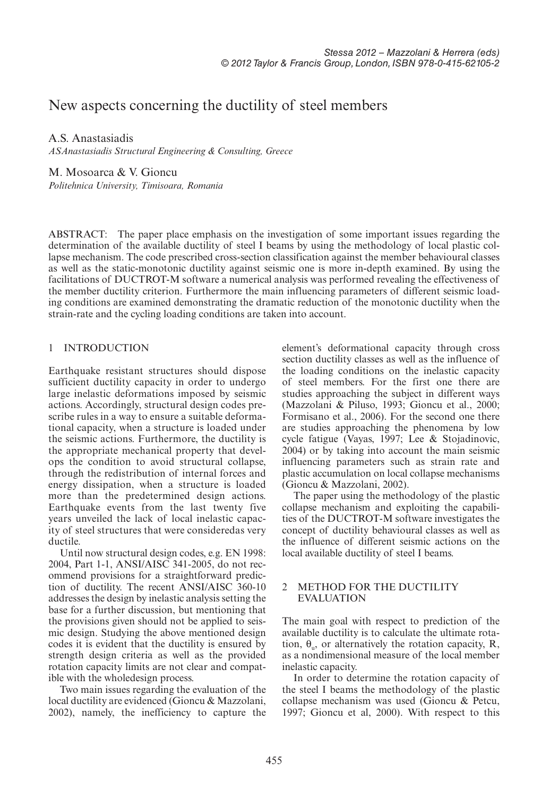# New aspects concerning the ductility of steel members

A.S. Anastasiadis

*ASAnastasiadis Structural Engineering & Consulting, Greece*

M. Mosoarca & V. Gioncu *Politehnica University, Timisoara, Romania*

ABSTRACT: The paper place emphasis on the investigation of some important issues regarding the determination of the available ductility of steel I beams by using the methodology of local plastic collapse mechanism. The code prescribed cross-section classification against the member behavioural classes as well as the static-monotonic ductility against seismic one is more in-depth examined. By using the facilitations of DUCTROT-M software a numerical analysis was performed revealing the effectiveness of the member ductility criterion. Furthermore the main influencing parameters of different seismic loading conditions are examined demonstrating the dramatic reduction of the monotonic ductility when the strain-rate and the cycling loading conditions are taken into account.

# 1 INTRODUCTION

Earthquake resistant structures should dispose sufficient ductility capacity in order to undergo large inelastic deformations imposed by seismic actions. Accordingly, structural design codes prescribe rules in a way to ensure a suitable deformational capacity, when a structure is loaded under the seismic actions. Furthermore, the ductility is the appropriate mechanical property that develops the condition to avoid structural collapse, through the redistribution of internal forces and energy dissipation, when a structure is loaded more than the predetermined design actions. Earthquake events from the last twenty five years unveiled the lack of local inelastic capacity of steel structures that were consideredas very ductile.

Until now structural design codes, e.g. EN 1998: 2004, Part 1-1, ANSI/AISC 341-2005, do not recommend provisions for a straightforward prediction of ductility. The recent ANSI/AISC 360-10 addresses the design by inelastic analysis setting the base for a further discussion, but mentioning that the provisions given should not be applied to seismic design. Studying the above mentioned design codes it is evident that the ductility is ensured by strength design criteria as well as the provided rotation capacity limits are not clear and compatible with the wholedesign process.

Two main issues regarding the evaluation of the local ductility are evidenced (Gioncu & Mazzolani, 2002), namely, the inefficiency to capture the element's deformational capacity through cross section ductility classes as well as the influence of the loading conditions on the inelastic capacity of steel members. For the first one there are studies approaching the subject in different ways (Mazzolani & Piluso, 1993; Gioncu et al., 2000; Formisano et al., 2006). For the second one there are studies approaching the phenomena by low cycle fatigue (Vayas, 1997; Lee & Stojadinovic, 2004) or by taking into account the main seismic influencing parameters such as strain rate and plastic accumulation on local collapse mechanisms (Gioncu & Mazzolani, 2002).

The paper using the methodology of the plastic collapse mechanism and exploiting the capabilities of the DUCTROT-M software investigates the concept of ductility behavioural classes as well as the influence of different seismic actions on the local available ductility of steel I beams.

#### 2 METHOD FOR THE DUCTILITY EVALUATION

The main goal with respect to prediction of the available ductility is to calculate the ultimate rotation,  $\theta_{\mu}$ , or alternatively the rotation capacity, R, as a nondimensional measure of the local member inelastic capacity.

In order to determine the rotation capacity of the steel I beams the methodology of the plastic collapse mechanism was used (Gioncu & Petcu, 1997; Gioncu et al, 2000). With respect to this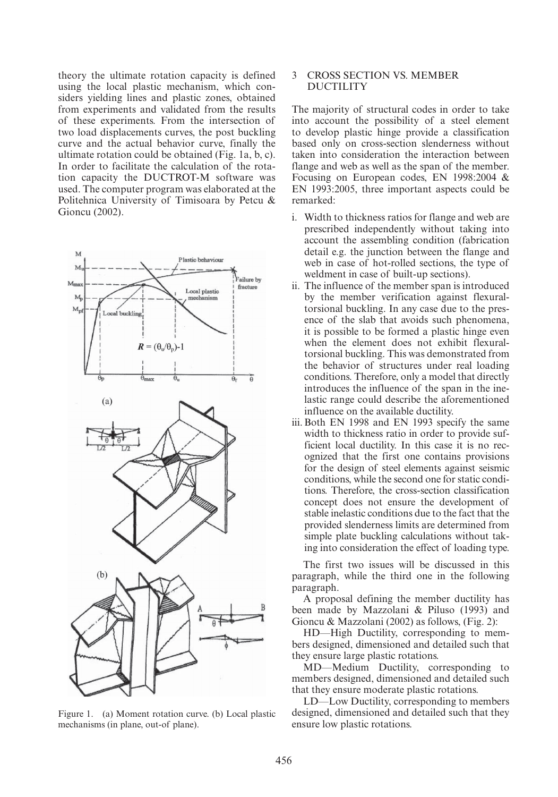theory the ultimate rotation capacity is defined using the local plastic mechanism, which considers yielding lines and plastic zones, obtained from experiments and validated from the results of these experiments. From the intersection of two load displacements curves, the post buckling curve and the actual behavior curve, finally the ultimate rotation could be obtained (Fig. 1a, b, c). In order to facilitate the calculation of the rotation capacity the DUCTROT-M software was used. The computer program was elaborated at the Politehnica University of Timisoara by Petcu & Gioncu (2002).



Figure 1. (a) Moment rotation curve. (b) Local plastic mechanisms (in plane, out-of plane).

# 3 CROSS SECTION VS. MEMBER DUCTILITY

The majority of structural codes in order to take into account the possibility of a steel element to develop plastic hinge provide a classification based only on cross-section slenderness without taken into consideration the interaction between flange and web as well as the span of the member. Focusing on European codes, EN 1998:2004 & EN 1993:2005, three important aspects could be remarked:

- i. Width to thickness ratios for flange and web are prescribed independently without taking into account the assembling condition (fabrication detail e.g. the junction between the flange and web in case of hot-rolled sections, the type of weldment in case of built-up sections).
- ii. The influence of the member span is introduced by the member verification against flexural torsional buckling. In any case due to the presence of the slab that avoids such phenomena, it is possible to be formed a plastic hinge even when the element does not exhibit flexural torsional buckling. This was demonstrated from the behavior of structures under real loading conditions. Therefore, only a model that directly introduces the influence of the span in the inelastic range could describe the aforementioned influence on the available ductility.
- iii. Both EN 1998 and EN 1993 specify the same width to thickness ratio in order to provide sufficient local ductility. In this case it is no recognized that the first one contains provisions for the design of steel elements against seismic conditions, while the second one for static conditions. Therefore, the cross-section classification concept does not ensure the development of stable inelastic conditions due to the fact that the provided slenderness limits are determined from simple plate buckling calculations without taking into consideration the effect of loading type.

The first two issues will be discussed in this paragraph, while the third one in the following paragraph.

A proposal defining the member ductility has been made by Mazzolani & Piluso (1993) and Gioncu & Mazzolani (2002) as follows, (Fig. 2):

HD—High Ductility, corresponding to members designed, dimensioned and detailed such that they ensure large plastic rotations.

MD—Medium Ductility, corresponding to members designed, dimensioned and detailed such that they ensure moderate plastic rotations.

LD—Low Ductility, corresponding to members designed, dimensioned and detailed such that they ensure low plastic rotations.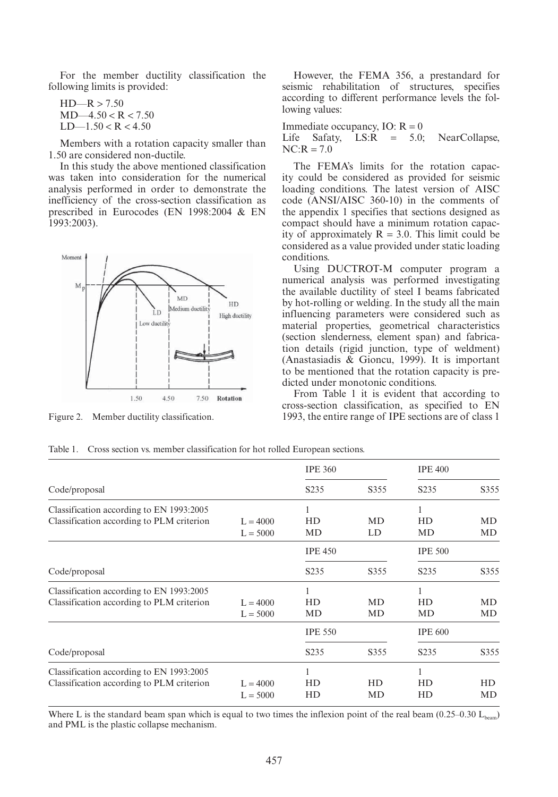For the member ductility classification the following limits is provided:

 $HD-R > 7.50$  $MD-4.50 < R < 7.50$  $LD-1.50 < R < 4.50$ 

Members with a rotation capacity smaller than 1.50 are considered non-ductile.

In this study the above mentioned classification was taken into consideration for the numerical analysis performed in order to demonstrate the inefficiency of the cross-section classification as prescribed in Eurocodes (EN 1998:2004 & EN 1993:2003).



However, the FEMA 356, a prestandard for seismic rehabilitation of structures, specifies according to different performance levels the following values:

Immediate occupancy, IO:  $R = 0$ <br>Life Safaty, LS: $R = 5.0$ ; Life Safaty, LS:R = 5.0; NearCollapse,  $NC:R = 7.0$ 

The FEMA's limits for the rotation capacity could be considered as provided for seismic loading conditions. The latest version of AISC code (ANSI/AISC 360-10) in the comments of the appendix 1 specifies that sections designed as compact should have a minimum rotation capacity of approximately  $R = 3.0$ . This limit could be considered as a value provided under static loading conditions.

Using DUCTROT-M computer program a numerical analysis was performed investigating the available ductility of steel I beams fabricated by hot-rolling or welding. In the study all the main influencing parameters were considered such as material properties, geometrical characteristics (section slenderness, element span) and fabrication details (rigid junction, type of weldment) (Anastasiadis & Gioncu, 1999). It is important to be mentioned that the rotation capacity is predicted under monotonic conditions.

From Table 1 it is evident that according to cross-section classification, as specified to EN Figure 2. Member ductility classification. 1993, the entire range of IPE sections are of class 1

Table 1. Cross section vs. member classification for hot rolled European sections.

|                                           |            | <b>IPE 360</b>    |           | <b>IPE 400</b>    |      |
|-------------------------------------------|------------|-------------------|-----------|-------------------|------|
| Code/proposal                             |            | S <sub>2</sub> 35 | S355      | S <sub>2</sub> 35 | S355 |
| Classification according to EN 1993:2005  |            | 1                 |           |                   |      |
| Classification according to PLM criterion | $L = 4000$ | HD                | <b>MD</b> | <b>HD</b>         | MD   |
|                                           | $L = 5000$ | MD                | LD        | MD                | MD   |
|                                           |            | <b>IPE 450</b>    |           | <b>IPE 500</b>    |      |
| Code/proposal                             |            | S <sub>2</sub> 35 | S355      | S <sub>2</sub> 35 | S355 |
| Classification according to EN 1993:2005  |            | 1                 |           | 1                 |      |
| Classification according to PLM criterion | $L = 4000$ | HD                | MD        | HD                | MD   |
|                                           | $L = 5000$ | MD                | MD        | MD                | MD   |
|                                           |            | <b>IPE 550</b>    |           | <b>IPE 600</b>    |      |
| Code/proposal                             |            | S <sub>2</sub> 35 | S355      | S <sub>2</sub> 35 | S355 |
| Classification according to EN 1993:2005  |            |                   |           |                   |      |
| Classification according to PLM criterion | $L = 4000$ | HD                | <b>HD</b> | H <sub>D</sub>    | HD.  |
|                                           | $L = 5000$ | HD                | MD        | HD                | MD   |
|                                           |            |                   |           |                   |      |

Where L is the standard beam span which is equal to two times the inflexion point of the real beam  $(0.25-0.30 \text{ L}_{\text{beam}})$ and PML is the plastic collapse mechanism.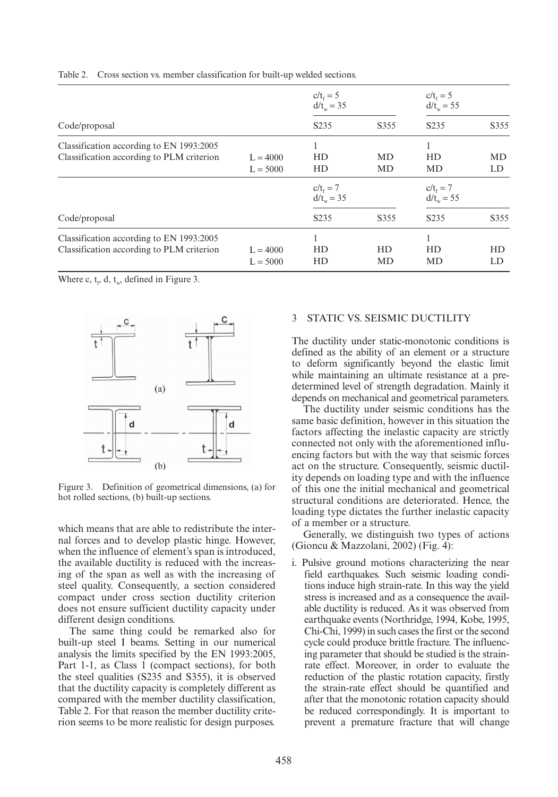|                                                                                       |                          | $c/t_f = 5$<br>$d/t_{\dots} = 35$ |                 | $c/t_r = 5$<br>$d/t_w = 55$ |                 |
|---------------------------------------------------------------------------------------|--------------------------|-----------------------------------|-----------------|-----------------------------|-----------------|
| Code/proposal                                                                         |                          | S <sub>2</sub> 35                 | S355            | S <sub>2</sub> 35           | S355            |
| Classification according to EN 1993:2005                                              |                          |                                   |                 |                             |                 |
| Classification according to PLM criterion                                             | $L = 4000$<br>$L = 5000$ | <b>HD</b><br>HD                   | MD<br><b>MD</b> | H <sub>D</sub><br>MD        | MD<br>LD        |
|                                                                                       |                          | $c/t_r = 7$<br>$d/t_{\dots} = 35$ |                 | $c/t_r = 7$<br>$d/t_w = 55$ |                 |
| Code/proposal                                                                         |                          | S <sub>2</sub> 35                 | S355            | S <sub>2</sub> 35           | S355            |
| Classification according to EN 1993:2005<br>Classification according to PLM criterion | $L = 4000$<br>$L = 5000$ | H <sub>D</sub><br>HD              | HD.<br>MD       | HD<br>MD                    | <b>HD</b><br>LD |

Table 2. Cross section vs. member classification for built-up welded sections.

Where c,  $t_p$ , d,  $t_w$ , defined in Figure 3.



Figure 3. Definition of geometrical dimensions, (a) for hot rolled sections, (b) built-up sections.

which means that are able to redistribute the internal forces and to develop plastic hinge. However, when the influence of element's span is introduced, the available ductility is reduced with the increasing of the span as well as with the increasing of steel quality. Consequently, a section considered compact under cross section ductility criterion does not ensure sufficient ductility capacity under different design conditions.

The same thing could be remarked also for built-up steel I beams. Setting in our numerical analysis the limits specified by the EN 1993:2005, Part 1-1, as Class 1 (compact sections), for both the steel qualities (S235 and S355), it is observed that the ductility capacity is completely different as compared with the member ductility classification, Table 2. For that reason the member ductility criterion seems to be more realistic for design purposes.

#### 3 STATIC VS. SEISMIC DUCTILITY

The ductility under static-monotonic conditions is defined as the ability of an element or a structure to deform significantly beyond the elastic limit while maintaining an ultimate resistance at a predetermined level of strength degradation. Mainly it depends on mechanical and geometrical parameters.

The ductility under seismic conditions has the same basic definition, however in this situation the factors affecting the inelastic capacity are strictly connected not only with the aforementioned influencing factors but with the way that seismic forces act on the structure. Consequently, seismic ductility depends on loading type and with the influence of this one the initial mechanical and geometrical structural conditions are deteriorated. Hence, the loading type dictates the further inelastic capacity of a member or a structure.

Generally, we distinguish two types of actions (Gioncu & Mazzolani, 2002) (Fig. 4):

i. Pulsive ground motions characterizing the near field earthquakes. Such seismic loading conditions induce high strain-rate. In this way the yield stress is increased and as a consequence the available ductility is reduced. As it was observed from earthquake events (Northridge, 1994, Kobe, 1995, Chi-Chi, 1999) in such cases the first or the second cycle could produce brittle fracture. The influencing parameter that should be studied is the strainrate effect. Moreover, in order to evaluate the reduction of the plastic rotation capacity, firstly the strain-rate effect should be quantified and after that the monotonic rotation capacity should be reduced correspondingly. It is important to prevent a premature fracture that will change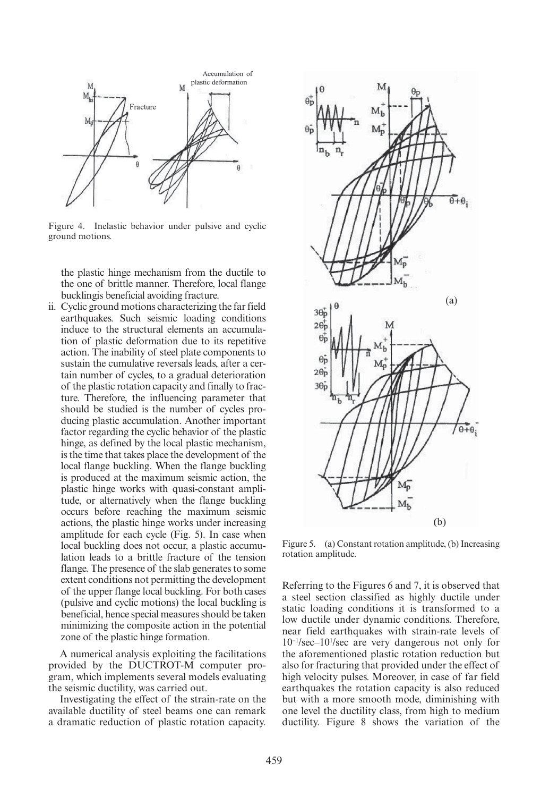

Figure 4. Inelastic behavior under pulsive and cyclic ground motions.

the plastic hinge mechanism from the ductile to the one of brittle manner. Therefore, local flange bucklingis beneficial avoiding fracture.

ii. Cyclic ground motions characterizing the far field earthquakes. Such seismic loading conditions induce to the structural elements an accumulation of plastic deformation due to its repetitive action. The inability of steel plate components to sustain the cumulative reversals leads, after a certain number of cycles, to a gradual deterioration of the plastic rotation capacity and finally to fracture. Therefore, the influencing parameter that should be studied is the number of cycles producing plastic accumulation. Another important factor regarding the cyclic behavior of the plastic hinge, as defined by the local plastic mechanism, is the time that takes place the development of the local flange buckling. When the flange buckling is produced at the maximum seismic action, the plastic hinge works with quasi-constant amplitude, or alternatively when the flange buckling occurs before reaching the maximum seismic actions, the plastic hinge works under increasing amplitude for each cycle (Fig. 5). In case when local buckling does not occur, a plastic accumulation leads to a brittle fracture of the tension flange. The presence of the slab generates to some extent conditions not permitting the development of the upper flange local buckling. For both cases (pulsive and cyclic motions) the local buckling is beneficial, hence special measures should be taken minimizing the composite action in the potential zone of the plastic hinge formation.

A numerical analysis exploiting the facilitations provided by the DUCTROT-M computer program, which implements several models evaluating the seismic ductility, was carried out.

Investigating the effect of the strain-rate on the available ductility of steel beams one can remark a dramatic reduction of plastic rotation capacity.



Figure 5. (a) Constant rotation amplitude, (b) Increasing rotation amplitude.

Referring to the Figures 6 and 7, it is observed that a steel section classified as highly ductile under static loading conditions it is transformed to a low ductile under dynamic conditions. Therefore, near field earthquakes with strain-rate levels of 10<sup>−</sup><sup>1</sup> /sec–101 /sec are very dangerous not only for the aforementioned plastic rotation reduction but also for fracturing that provided under the effect of high velocity pulses. Moreover, in case of far field earthquakes the rotation capacity is also reduced but with a more smooth mode, diminishing with one level the ductility class, from high to medium ductility. Figure 8 shows the variation of the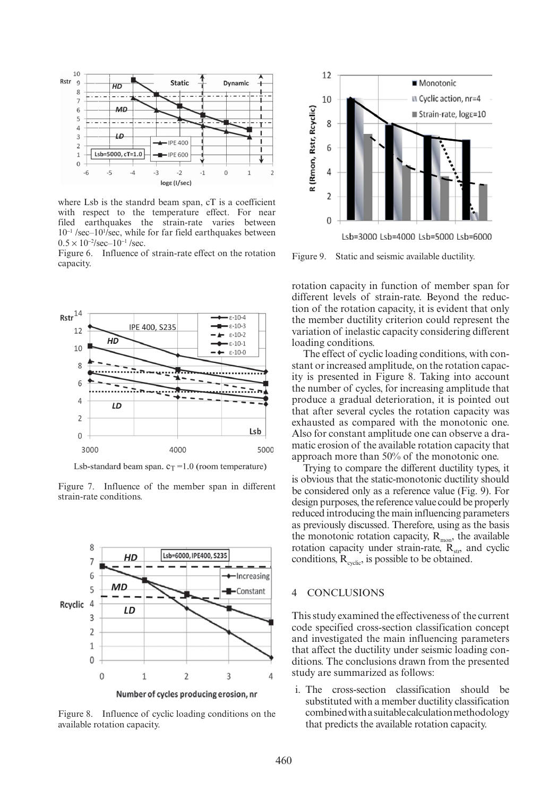

where Lsb is the standrd beam span, cT is a coefficient with respect to the temperature effect. For near filed earthquakes the strain-rate varies between 10<sup>−</sup><sup>1</sup> /sec–101 /sec, while for far field earthquakes between  $0.5 \times 10^{-2}$ /sec $-10^{-1}$ /sec.

Figure 6. Influence of strain-rate effect on the rotation capacity.



Lsb-standard beam span.  $c_T = 1.0$  (room temperature)

Figure 7. Influence of the member span in different strain-rate conditions.



Figure 8. Influence of cyclic loading conditions on the available rotation capacity.



Figure 9. Static and seismic available ductility.

 rotation capacity in function of member span for different levels of strain-rate. Beyond the reduction of the rotation capacity, it is evident that only the member ductility criterion could represent the variation of inelastic capacity considering different loading conditions.

The effect of cyclic loading conditions, with constant or increased amplitude, on the rotation capacity is presented in Figure 8. Taking into account the number of cycles, for increasing amplitude that produce a gradual deterioration, it is pointed out that after several cycles the rotation capacity was exhausted as compared with the monotonic one. Also for constant amplitude one can observe a dramatic erosion of the available rotation capacity that approach more than 50% of the monotonic one.

Trying to compare the different ductility types, it is obvious that the static-monotonic ductility should be considered only as a reference value (Fig. 9). For design purposes, the reference value could be properly reduced introducing the main influencing parameters as previously discussed. Therefore, using as the basis the monotonic rotation capacity,  $R_{\text{mon}}$ , the available rotation capacity under strain-rate,  $R_{str}$  and cyclic conditions,  $R_{\text{cyclic}}$ , is possible to be obtained.

## 4 CONCLUSIONS

This study examined the effectiveness of the current code specified cross-section classification concept and investigated the main influencing parameters that affect the ductility under seismic loading conditions. The conclusions drawn from the presented study are summarized as follows:

 i. The cross-section classification should be substituted with a member ductility classification combined with a suitable calculation methodology that predicts the available rotation capacity.